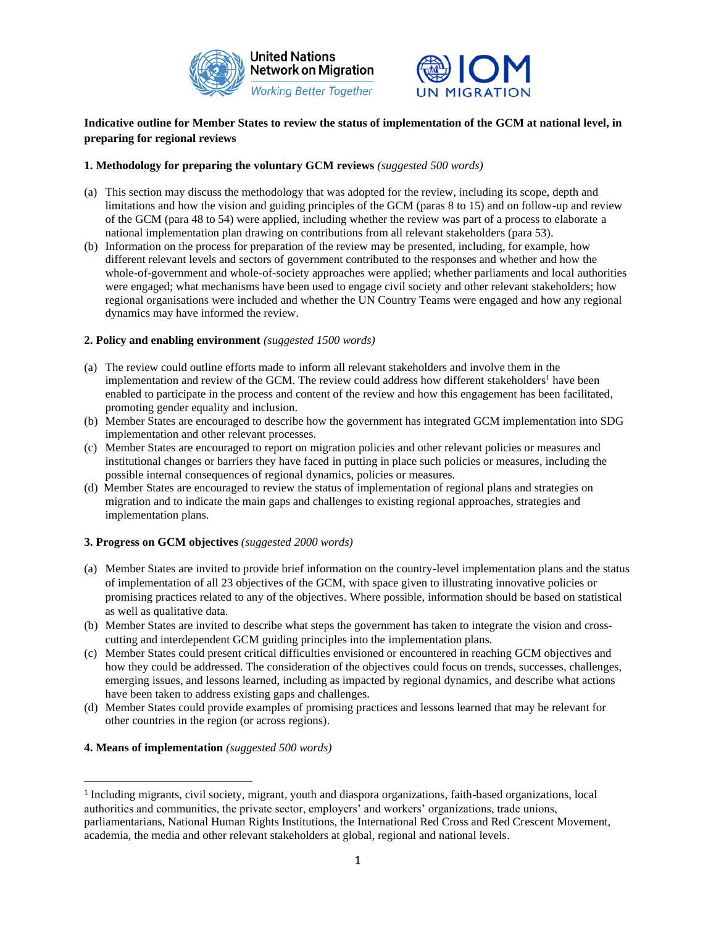



# **Indicative outline for Member States to review the status of implementation of the GCM at national level, in preparing for regional reviews**

## **1. Methodology for preparing the voluntary GCM reviews** *(suggested 500 words)*

- (a) This section may discuss the methodology that was adopted for the review, including its scope, depth and limitations and how the vision and guiding principles of the GCM (paras 8 to 15) and on follow-up and review of the GCM (para 48 to 54) were applied, including whether the review was part of a process to elaborate a national implementation plan drawing on contributions from all relevant stakeholders (para 53).
- (b) Information on the process for preparation of the review may be presented, including, for example, how different relevant levels and sectors of government contributed to the responses and whether and how the whole-of-government and whole-of-society approaches were applied; whether parliaments and local authorities were engaged; what mechanisms have been used to engage civil society and other relevant stakeholders; how regional organisations were included and whether the UN Country Teams were engaged and how any regional dynamics may have informed the review.

### **2. Policy and enabling environment** *(suggested 1500 words)*

- (a) The review could outline efforts made to inform all relevant stakeholders and involve them in the implementation and review of the GCM. The review could address how different stakeholders<sup>1</sup> have been enabled to participate in the process and content of the review and how this engagement has been facilitated, promoting gender equality and inclusion.
- (b) Member States are encouraged to describe how the government has integrated GCM implementation into SDG implementation and other relevant processes.
- (c) Member States are encouraged to report on migration policies and other relevant policies or measures and institutional changes or barriers they have faced in putting in place such policies or measures, including the possible internal consequences of regional dynamics, policies or measures.
- (d) Member States are encouraged to review the status of implementation of regional plans and strategies on migration and to indicate the main gaps and challenges to existing regional approaches, strategies and implementation plans.

# **3. Progress on GCM objectives** *(suggested 2000 words)*

- (a) Member States are invited to provide brief information on the country-level implementation plans and the status of implementation of all 23 objectives of the GCM, with space given to illustrating innovative policies or promising practices related to any of the objectives. Where possible, information should be based on statistical as well as qualitative data.
- (b) Member States are invited to describe what steps the government has taken to integrate the vision and crosscutting and interdependent GCM guiding principles into the implementation plans.
- (c) Member States could present critical difficulties envisioned or encountered in reaching GCM objectives and how they could be addressed. The consideration of the objectives could focus on trends, successes, challenges, emerging issues, and lessons learned, including as impacted by regional dynamics, and describe what actions have been taken to address existing gaps and challenges.
- (d) Member States could provide examples of promising practices and lessons learned that may be relevant for other countries in the region (or across regions).

## **4. Means of implementation** *(suggested 500 words)*

<sup>&</sup>lt;sup>1</sup> Including migrants, civil society, migrant, youth and diaspora organizations, faith-based organizations, local authorities and communities, the private sector, employers' and workers' organizations, trade unions, parliamentarians, National Human Rights Institutions, the International Red Cross and Red Crescent Movement, academia, the media and other relevant stakeholders at global, regional and national levels.